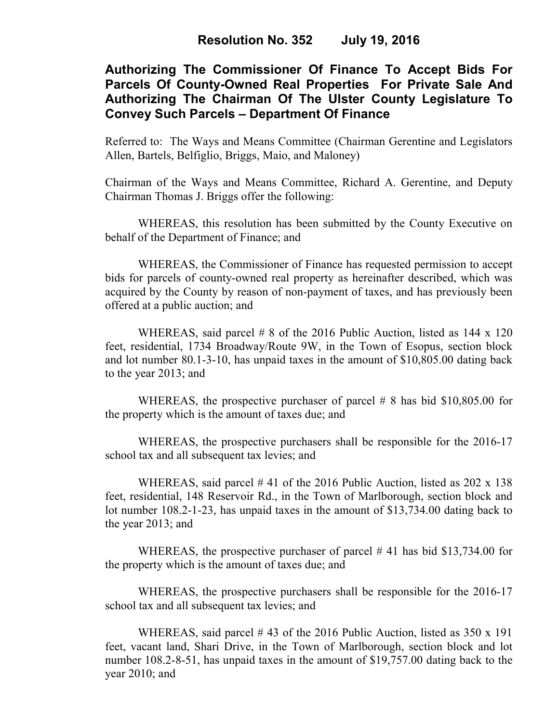# **Authorizing The Commissioner Of Finance To Accept Bids For Parcels Of County-Owned Real Properties For Private Sale And Authorizing The Chairman Of The Ulster County Legislature To Convey Such Parcels – Department Of Finance**

Referred to: The Ways and Means Committee (Chairman Gerentine and Legislators Allen, Bartels, Belfiglio, Briggs, Maio, and Maloney)

Chairman of the Ways and Means Committee, Richard A. Gerentine, and Deputy Chairman Thomas J. Briggs offer the following:

WHEREAS, this resolution has been submitted by the County Executive on behalf of the Department of Finance; and

 WHEREAS, the Commissioner of Finance has requested permission to accept bids for parcels of county-owned real property as hereinafter described, which was acquired by the County by reason of non-payment of taxes, and has previously been offered at a public auction; and

WHEREAS, said parcel # 8 of the 2016 Public Auction, listed as 144 x 120 feet, residential, 1734 Broadway/Route 9W, in the Town of Esopus, section block and lot number 80.1-3-10, has unpaid taxes in the amount of \$10,805.00 dating back to the year 2013; and

WHEREAS, the prospective purchaser of parcel # 8 has bid \$10,805.00 for the property which is the amount of taxes due; and

 WHEREAS, the prospective purchasers shall be responsible for the 2016-17 school tax and all subsequent tax levies; and

WHEREAS, said parcel #41 of the 2016 Public Auction, listed as 202 x 138 feet, residential, 148 Reservoir Rd., in the Town of Marlborough, section block and lot number 108.2-1-23, has unpaid taxes in the amount of \$13,734.00 dating back to the year 2013; and

WHEREAS, the prospective purchaser of parcel # 41 has bid \$13,734.00 for the property which is the amount of taxes due; and

 WHEREAS, the prospective purchasers shall be responsible for the 2016-17 school tax and all subsequent tax levies; and

WHEREAS, said parcel #43 of the 2016 Public Auction, listed as 350 x 191 feet, vacant land, Shari Drive, in the Town of Marlborough, section block and lot number 108.2-8-51, has unpaid taxes in the amount of \$19,757.00 dating back to the year 2010; and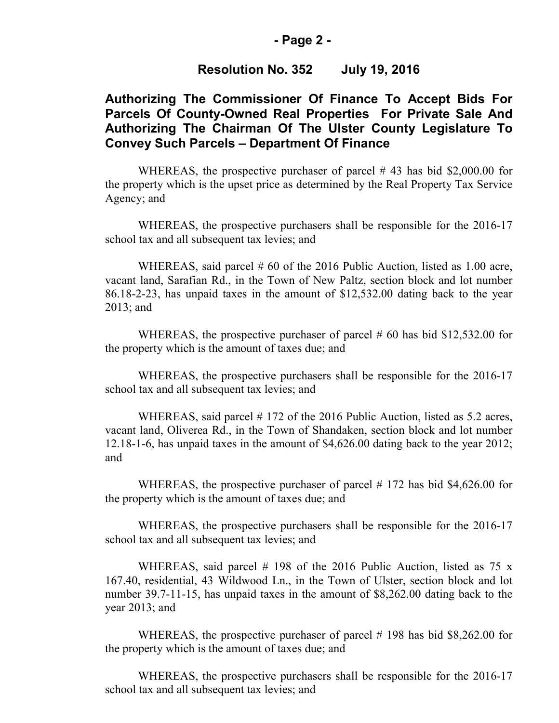### **- Page 2 -**

### **Resolution No. 352 July 19, 2016**

## **Authorizing The Commissioner Of Finance To Accept Bids For Parcels Of County-Owned Real Properties For Private Sale And Authorizing The Chairman Of The Ulster County Legislature To Convey Such Parcels – Department Of Finance**

WHEREAS, the prospective purchaser of parcel #43 has bid \$2,000.00 for the property which is the upset price as determined by the Real Property Tax Service Agency; and

 WHEREAS, the prospective purchasers shall be responsible for the 2016-17 school tax and all subsequent tax levies; and

WHEREAS, said parcel # 60 of the 2016 Public Auction, listed as 1.00 acre, vacant land, Sarafian Rd., in the Town of New Paltz, section block and lot number 86.18-2-23, has unpaid taxes in the amount of \$12,532.00 dating back to the year 2013; and

WHEREAS, the prospective purchaser of parcel # 60 has bid \$12,532.00 for the property which is the amount of taxes due; and

 WHEREAS, the prospective purchasers shall be responsible for the 2016-17 school tax and all subsequent tax levies; and

WHEREAS, said parcel # 172 of the 2016 Public Auction, listed as 5.2 acres, vacant land, Oliverea Rd., in the Town of Shandaken, section block and lot number 12.18-1-6, has unpaid taxes in the amount of \$4,626.00 dating back to the year 2012; and

WHEREAS, the prospective purchaser of parcel # 172 has bid \$4,626.00 for the property which is the amount of taxes due; and

 WHEREAS, the prospective purchasers shall be responsible for the 2016-17 school tax and all subsequent tax levies; and

WHEREAS, said parcel  $#$  198 of the 2016 Public Auction, listed as 75 x 167.40, residential, 43 Wildwood Ln., in the Town of Ulster, section block and lot number 39.7-11-15, has unpaid taxes in the amount of \$8,262.00 dating back to the year 2013; and

WHEREAS, the prospective purchaser of parcel # 198 has bid \$8,262.00 for the property which is the amount of taxes due; and

 WHEREAS, the prospective purchasers shall be responsible for the 2016-17 school tax and all subsequent tax levies; and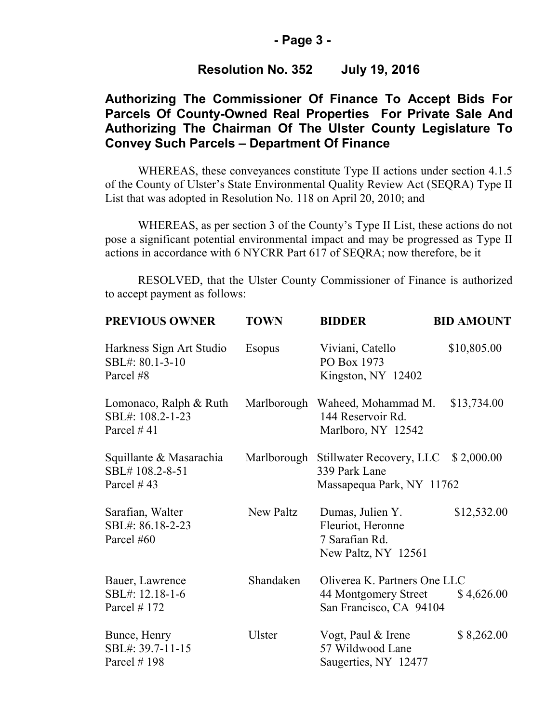## **- Page 3 -**

## **Resolution No. 352 July 19, 2016**

# **Authorizing The Commissioner Of Finance To Accept Bids For Parcels Of County-Owned Real Properties For Private Sale And Authorizing The Chairman Of The Ulster County Legislature To Convey Such Parcels – Department Of Finance**

WHEREAS, these conveyances constitute Type II actions under section 4.1.5 of the County of Ulster's State Environmental Quality Review Act (SEQRA) Type II List that was adopted in Resolution No. 118 on April 20, 2010; and

 WHEREAS, as per section 3 of the County's Type II List, these actions do not pose a significant potential environmental impact and may be progressed as Type II actions in accordance with 6 NYCRR Part 617 of SEQRA; now therefore, be it

RESOLVED, that the Ulster County Commissioner of Finance is authorized to accept payment as follows:

| <b>PREVIOUS OWNER</b>                                      | <b>TOWN</b>   | <b>BIDDER</b>                                                                   | <b>BID AMOUNT</b> |
|------------------------------------------------------------|---------------|---------------------------------------------------------------------------------|-------------------|
| Harkness Sign Art Studio<br>SBL#: 80.1-3-10<br>Parcel #8   | <b>Esopus</b> | Viviani, Catello<br>PO Box 1973<br>Kingston, NY 12402                           | \$10,805.00       |
| Lomonaco, Ralph & Ruth<br>SBL#: 108.2-1-23<br>Parcel $#41$ |               | Marlborough Waheed, Mohammad M.<br>144 Reservoir Rd.<br>Marlboro, NY 12542      | \$13,734.00       |
| Squillante & Masarachia<br>SBL#108.2-8-51<br>Parcel $#43$  | Marlborough   | Stillwater Recovery, LLC<br>339 Park Lane<br>Massapequa Park, NY 11762          | \$2,000.00        |
| Sarafian, Walter<br>SBL#: 86.18-2-23<br>Parcel #60         | New Paltz     | Dumas, Julien Y.<br>Fleuriot, Heronne<br>7 Sarafian Rd.<br>New Paltz, NY 12561  | \$12,532.00       |
| Bauer, Lawrence<br>SBL#: 12.18-1-6<br>Parcel $# 172$       | Shandaken     | Oliverea K. Partners One LLC<br>44 Montgomery Street<br>San Francisco, CA 94104 | \$4,626.00        |
| Bunce, Henry<br>SBL#: 39.7-11-15<br>Parcel $# 198$         | Ulster        | Vogt, Paul & Irene<br>57 Wildwood Lane<br>Saugerties, NY 12477                  | \$8,262.00        |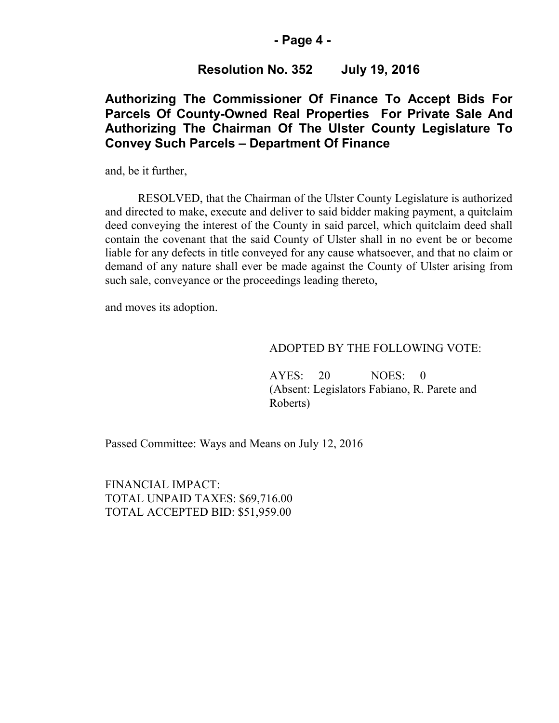### **- Page 4 -**

## **Resolution No. 352 July 19, 2016**

## **Authorizing The Commissioner Of Finance To Accept Bids For Parcels Of County-Owned Real Properties For Private Sale And Authorizing The Chairman Of The Ulster County Legislature To Convey Such Parcels – Department Of Finance**

and, be it further,

RESOLVED, that the Chairman of the Ulster County Legislature is authorized and directed to make, execute and deliver to said bidder making payment, a quitclaim deed conveying the interest of the County in said parcel, which quitclaim deed shall contain the covenant that the said County of Ulster shall in no event be or become liable for any defects in title conveyed for any cause whatsoever, and that no claim or demand of any nature shall ever be made against the County of Ulster arising from such sale, conveyance or the proceedings leading thereto,

and moves its adoption.

#### ADOPTED BY THE FOLLOWING VOTE:

AYES: 20 NOES: 0 (Absent: Legislators Fabiano, R. Parete and Roberts)

Passed Committee: Ways and Means on July 12, 2016

FINANCIAL IMPACT: TOTAL UNPAID TAXES: \$69,716.00 TOTAL ACCEPTED BID: \$51,959.00